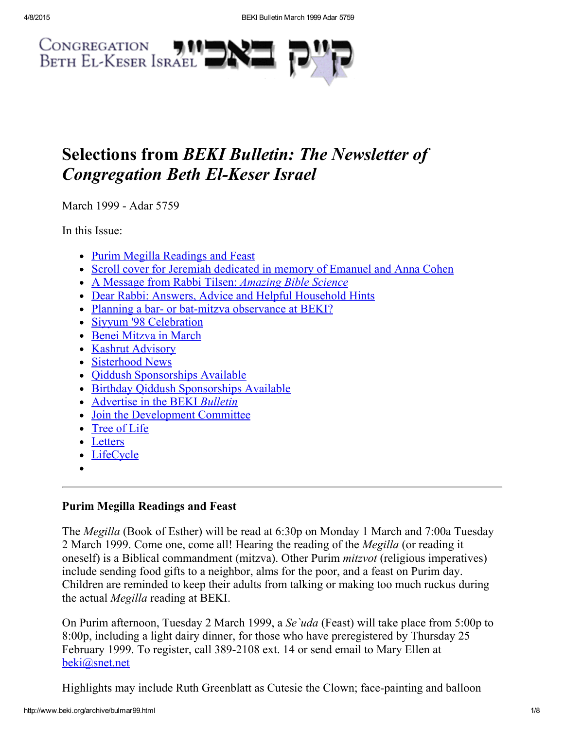

# Selections from BEKI Bulletin: The Newsletter of **Congregation Beth El-Keser Israel**

March 1999 - Adar 5759

In this Issue:

- Purim Megilla [Readings](#page-0-0) and Feast
- Scroll cover for Jeremiah [dedicated](#page-1-1) in memory of Emanuel and Anna Cohen
- A Message from Rabbi Tilsen: [Amazing](#page-1-0) Bible Science
- Dear Rabbi: Answers, Advice and Helpful [Household](#page-2-0) Hints
- Planning a bar- or bat-mitzva [observance](#page-3-1) at BEKI?
- Siyyum '98 [Celebration](#page-3-0)
- Benei [Mitzva](#page-4-0) in March
- Kashrut [Advisory](#page-4-1)
- [Sisterhood](#page-5-1) News
- Oiddush [Sponsorships](#page-5-0) Available
- Birthday Oiddush [Sponsorships](#page-5-3) Available
- [Advertise](#page-5-2) in the BEKI Bulletin
- Join the [Development](#page-5-4) Committee
- [Tree](#page-6-1) of Life
- [Letters](#page-6-0)
- [LifeCycle](#page-7-0)
- 

# <span id="page-0-0"></span>Purim Megilla Readings and Feast

The Megilla (Book of Esther) will be read at 6:30p on Monday 1 March and 7:00a Tuesday 2 March 1999. Come one, come all! Hearing the reading of the Megilla (or reading it oneself) is a Biblical commandment (mitzva). Other Purim *mitzvot* (religious imperatives) include sending food gifts to a neighbor, alms for the poor, and a feast on Purim day. Children are reminded to keep their adults from talking or making too much ruckus during the actual Megilla reading at BEKI.

On Purim afternoon, Tuesday 2 March 1999, a Se`uda (Feast) will take place from 5:00p to 8:00p, including a light dairy dinner, for those who have preregistered by Thursday 25 February 1999. To register, call 389-2108 ext. 14 or send email to Mary Ellen at [beki@snet.net](mailto:beki@snet.net)

Highlights may include Ruth Greenblatt as Cutesie the Clown; face-painting and balloon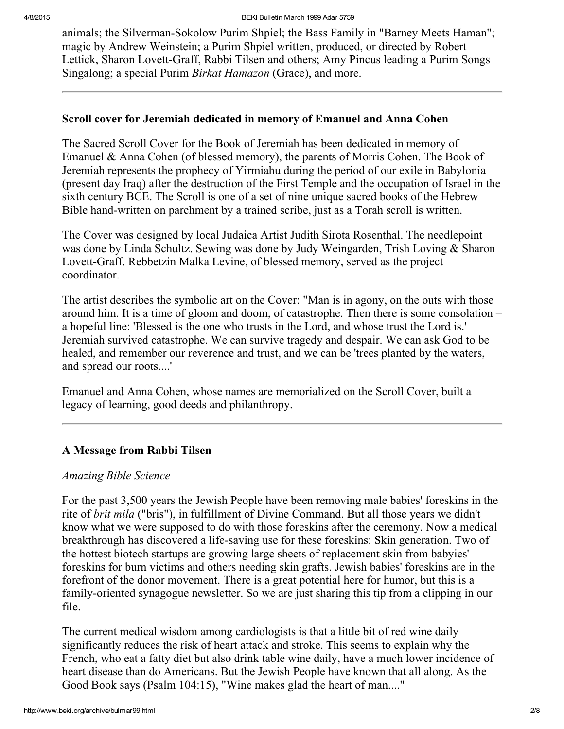animals; the Silverman-Sokolow Purim Shpiel; the Bass Family in "Barney Meets Haman"; magic by Andrew Weinstein; a Purim Shpiel written, produced, or directed by Robert Lettick, Sharon Lovett-Graff, Rabbi Tilsen and others; Amy Pincus leading a Purim Songs Singalong; a special Purim *Birkat Hamazon* (Grace), and more.

## <span id="page-1-1"></span>Scroll cover for Jeremiah dedicated in memory of Emanuel and Anna Cohen

The Sacred Scroll Cover for the Book of Jeremiah has been dedicated in memory of Emanuel & Anna Cohen (of blessed memory), the parents of Morris Cohen. The Book of Jeremiah represents the prophecy of Yirmiahu during the period of our exile in Babylonia (present day Iraq) after the destruction of the First Temple and the occupation of Israel in the sixth century BCE. The Scroll is one of a set of nine unique sacred books of the Hebrew Bible hand-written on parchment by a trained scribe, just as a Torah scroll is written.

The Cover was designed by local Judaica Artist Judith Sirota Rosenthal. The needlepoint was done by Linda Schultz. Sewing was done by Judy Weingarden, Trish Loving & Sharon Lovett-Graff. Rebbetzin Malka Levine, of blessed memory, served as the project coordinator.

The artist describes the symbolic art on the Cover: "Man is in agony, on the outs with those around him. It is a time of gloom and doom, of catastrophe. Then there is some consolation – a hopeful line: 'Blessed is the one who trusts in the Lord, and whose trust the Lord is.' Jeremiah survived catastrophe. We can survive tragedy and despair. We can ask God to be healed, and remember our reverence and trust, and we can be 'trees planted by the waters, and spread our roots....'

Emanuel and Anna Cohen, whose names are memorialized on the Scroll Cover, built a legacy of learning, good deeds and philanthropy.

# <span id="page-1-0"></span>A Message from Rabbi Tilsen

# Amazing Bible Science

For the past 3,500 years the Jewish People have been removing male babies' foreskins in the rite of brit mila ("bris"), in fulfillment of Divine Command. But all those years we didn't know what we were supposed to do with those foreskins after the ceremony. Now a medical breakthrough has discovered a life-saving use for these foreskins: Skin generation. Two of the hottest biotech startups are growing large sheets of replacement skin from babyies' foreskins for burn victims and others needing skin grafts. Jewish babies' foreskins are in the forefront of the donor movement. There is a great potential here for humor, but this is a family-oriented synagogue newsletter. So we are just sharing this tip from a clipping in our file.

The current medical wisdom among cardiologists is that a little bit of red wine daily significantly reduces the risk of heart attack and stroke. This seems to explain why the French, who eat a fatty diet but also drink table wine daily, have a much lower incidence of heart disease than do Americans. But the Jewish People have known that all along. As the Good Book says (Psalm 104:15), "Wine makes glad the heart of man...."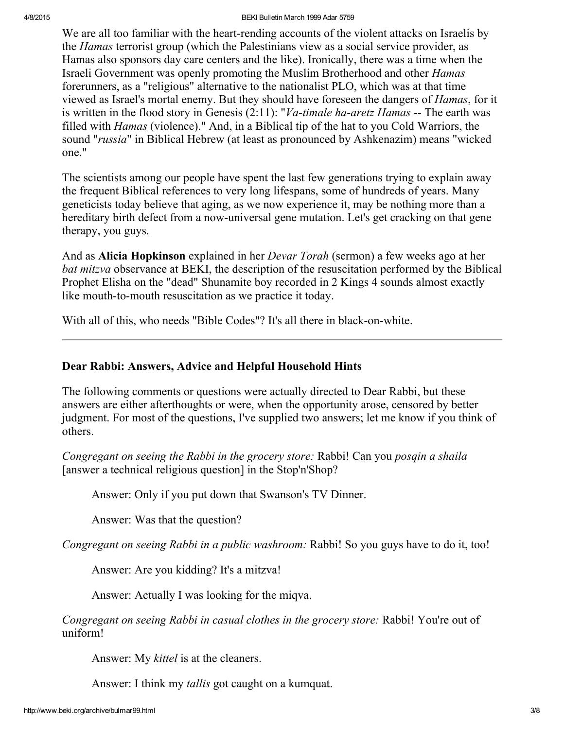We are all too familiar with the heart-rending accounts of the violent attacks on Israelis by the Hamas terrorist group (which the Palestinians view as a social service provider, as Hamas also sponsors day care centers and the like). Ironically, there was a time when the Israeli Government was openly promoting the Muslim Brotherhood and other Hamas forerunners, as a "religious" alternative to the nationalist PLO, which was at that time viewed as Israel's mortal enemy. But they should have foreseen the dangers of Hamas, for it is written in the flood story in Genesis  $(2.11)$ : "*Va-timale ha-aretz Hamas* -- The earth was filled with Hamas (violence)." And, in a Biblical tip of the hat to you Cold Warriors, the sound "*russia*" in Biblical Hebrew (at least as pronounced by Ashkenazim) means "wicked one."

The scientists among our people have spent the last few generations trying to explain away the frequent Biblical references to very long lifespans, some of hundreds of years. Many geneticists today believe that aging, as we now experience it, may be nothing more than a hereditary birth defect from a now-universal gene mutation. Let's get cracking on that gene therapy, you guys.

And as Alicia Hopkinson explained in her Devar Torah (sermon) a few weeks ago at her bat mitzva observance at BEKI, the description of the resuscitation performed by the Biblical Prophet Elisha on the "dead" Shunamite boy recorded in 2 Kings 4 sounds almost exactly like mouth-to-mouth resuscitation as we practice it today.

With all of this, who needs "Bible Codes"? It's all there in black-on-white.

# <span id="page-2-0"></span>Dear Rabbi: Answers, Advice and Helpful Household Hints

The following comments or questions were actually directed to Dear Rabbi, but these answers are either afterthoughts or were, when the opportunity arose, censored by better judgment. For most of the questions, I've supplied two answers; let me know if you think of others.

Congregant on seeing the Rabbi in the grocery store: Rabbi! Can you posqin a shaila [answer a technical religious question] in the Stop'n'Shop?

Answer: Only if you put down that Swanson's TV Dinner.

Answer: Was that the question?

Congregant on seeing Rabbi in a public washroom: Rabbi! So you guys have to do it, too!

Answer: Are you kidding? It's a mitzva!

Answer: Actually I was looking for the miqva.

Congregant on seeing Rabbi in casual clothes in the grocery store: Rabbi! You're out of uniform!

Answer: My *kittel* is at the cleaners.

Answer: I think my tallis got caught on a kumquat.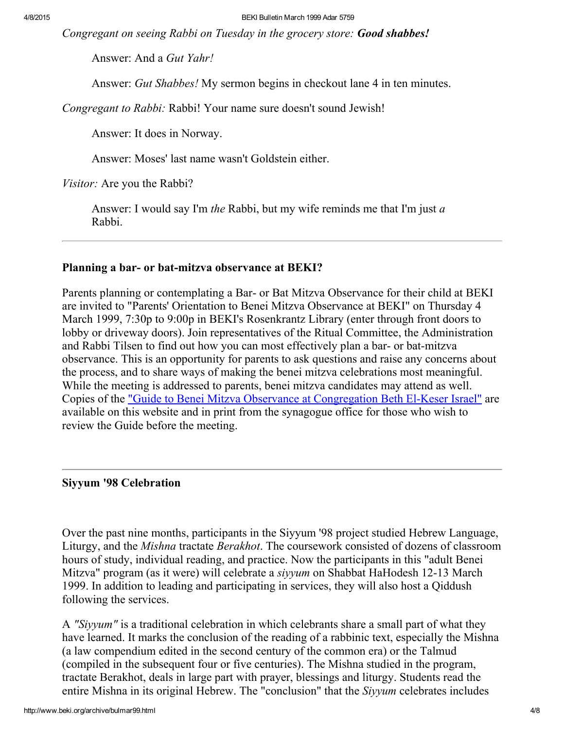Congregant on seeing Rabbi on Tuesday in the grocery store: Good shabbes!

Answer: And a Gut Yahr!

Answer: Gut Shabbes! My sermon begins in checkout lane 4 in ten minutes.

Congregant to Rabbi: Rabbi! Your name sure doesn't sound Jewish!

Answer: It does in Norway.

Answer: Moses' last name wasn't Goldstein either.

Visitor: Are you the Rabbi?

Answer: I would say I'm the Rabbi, but my wife reminds me that I'm just a Rabbi.

#### <span id="page-3-1"></span>Planning a bar- or bat-mitzva observance at BEKI?

Parents planning or contemplating a Bar- or Bat Mitzva Observance for their child at BEKI are invited to "Parents' Orientation to Benei Mitzva Observance at BEKI" on Thursday 4 March 1999, 7:30p to 9:00p in BEKI's Rosenkrantz Library (enter through front doors to lobby or driveway doors). Join representatives of the Ritual Committee, the Administration and Rabbi Tilsen to find out how you can most effectively plan a bar- or bat-mitzva observance. This is an opportunity for parents to ask questions and raise any concerns about the process, and to share ways of making the benei mitzva celebrations most meaningful. While the meeting is addressed to parents, benei mitzva candidates may attend as well. Copies of the <u>"Guide to Benei Mitzva Observance at [Congregation](http://www.beki.org/archive/bmguide.html) Beth El-Keser Israel"</u> are available on this website and in print from the synagogue office for those who wish to review the Guide before the meeting.

#### <span id="page-3-0"></span>Siyyum '98 Celebration

Over the past nine months, participants in the Siyyum '98 project studied Hebrew Language, Liturgy, and the Mishna tractate Berakhot. The coursework consisted of dozens of classroom hours of study, individual reading, and practice. Now the participants in this "adult Benei Mitzva" program (as it were) will celebrate a *siyyum* on Shabbat HaHodesh 12-13 March 1999. In addition to leading and participating in services, they will also host a Qiddush following the services.

A "Siyyum" is a traditional celebration in which celebrants share a small part of what they have learned. It marks the conclusion of the reading of a rabbinic text, especially the Mishna (a law compendium edited in the second century of the common era) or the Talmud (compiled in the subsequent four or five centuries). The Mishna studied in the program, tractate Berakhot, deals in large part with prayer, blessings and liturgy. Students read the entire Mishna in its original Hebrew. The "conclusion" that the *Siyyum* celebrates includes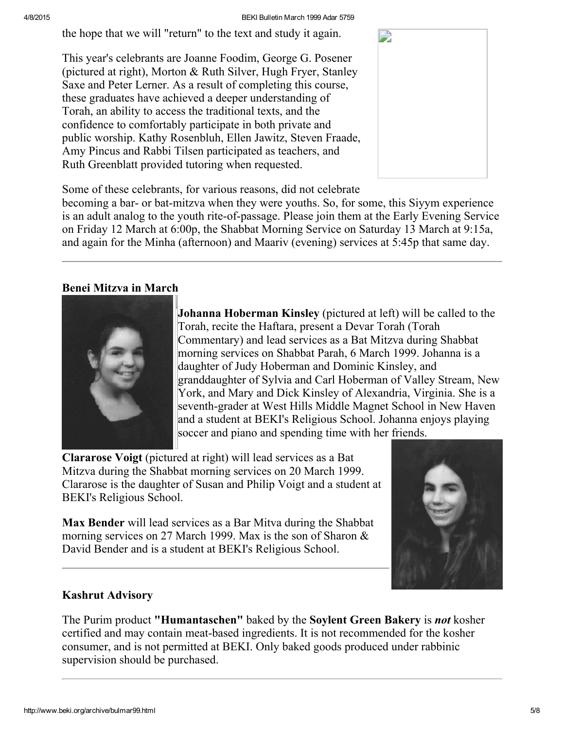the hope that we will "return" to the text and study it again.

This year's celebrants are Joanne Foodim, George G. Posener (pictured at right), Morton & Ruth Silver, Hugh Fryer, Stanley Saxe and Peter Lerner. As a result of completing this course, these graduates have achieved a deeper understanding of Torah, an ability to access the traditional texts, and the confidence to comfortably participate in both private and public worship. Kathy Rosenbluh, Ellen Jawitz, Steven Fraade, Amy Pincus and Rabbi Tilsen participated as teachers, and Ruth Greenblatt provided tutoring when requested.



Some of these celebrants, for various reasons, did not celebrate

becoming a bar- or bat-mitzva when they were youths. So, for some, this Siyym experience is an adult analog to the youth rite-of-passage. Please join them at the Early Evening Service on Friday 12 March at 6:00p, the Shabbat Morning Service on Saturday 13 March at 9:15a, and again for the Minha (afternoon) and Maariv (evening) services at 5:45p that same day.

# <span id="page-4-0"></span>Benei Mitzva in March



Johanna Hoberman Kinsley (pictured at left) will be called to the Torah, recite the Haftara, present a Devar Torah (Torah Commentary) and lead services as a Bat Mitzva during Shabbat morning services on Shabbat Parah, 6 March 1999. Johanna is a daughter of Judy Hoberman and Dominic Kinsley, and granddaughter of Sylvia and Carl Hoberman of Valley Stream, New York, and Mary and Dick Kinsley of Alexandria, Virginia. She is a seventh-grader at West Hills Middle Magnet School in New Haven and a student at BEKI's Religious School. Johanna enjoys playing soccer and piano and spending time with her friends.

Clararose Voigt (pictured at right) will lead services as a Bat Mitzva during the Shabbat morning services on 20 March 1999. Clararose is the daughter of Susan and Philip Voigt and a student at BEKI's Religious School.

Max Bender will lead services as a Bar Mitva during the Shabbat morning services on 27 March 1999. Max is the son of Sharon & David Bender and is a student at BEKI's Religious School.



# <span id="page-4-1"></span>Kashrut Advisory

The Purim product "Humantaschen" baked by the Soylent Green Bakery is *not* kosher certified and may contain meat-based ingredients. It is not recommended for the kosher consumer, and is not permitted at BEKI. Only baked goods produced under rabbinic supervision should be purchased.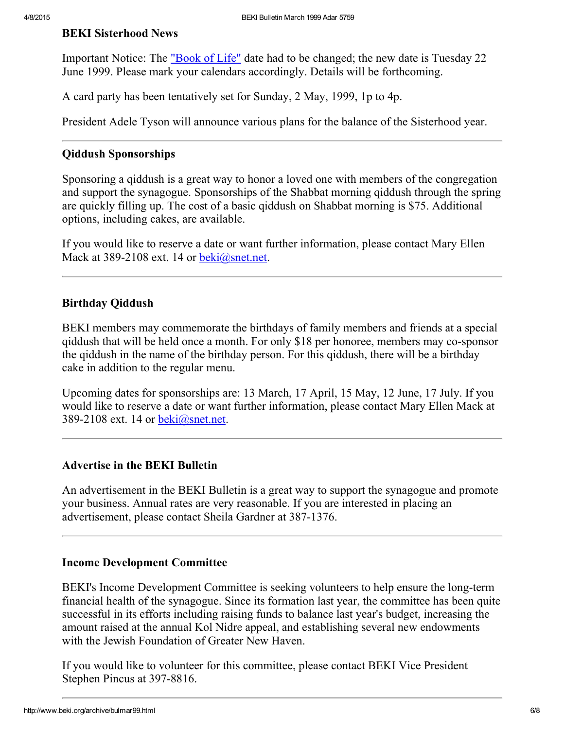## <span id="page-5-1"></span>BEKI Sisterhood News

Important Notice: The <u>["Book](http://www.beki.org/archive/sisterhood.html#bookoflife) of Life"</u> date had to be changed; the new date is Tuesday 22 June 1999. Please mark your calendars accordingly. Details will be forthcoming.

A card party has been tentatively set for Sunday, 2 May, 1999, 1p to 4p.

President Adele Tyson will announce various plans for the balance of the Sisterhood year.

#### <span id="page-5-0"></span>Qiddush Sponsorships

Sponsoring a qiddush is a great way to honor a loved one with members of the congregation and support the synagogue. Sponsorships of the Shabbat morning qiddush through the spring are quickly filling up. The cost of a basic qiddush on Shabbat morning is \$75. Additional options, including cakes, are available.

If you would like to reserve a date or want further information, please contact Mary Ellen Mack at 389-2108 ext. 14 or [beki@snet.net.](mailto:beki@snet.net)

#### <span id="page-5-3"></span>Birthday Qiddush

BEKI members may commemorate the birthdays of family members and friends at a special qiddush that will be held once a month. For only \$18 per honoree, members may co-sponsor the qiddush in the name of the birthday person. For this qiddush, there will be a birthday cake in addition to the regular menu.

Upcoming dates for sponsorships are: 13 March, 17 April, 15 May, 12 June, 17 July. If you would like to reserve a date or want further information, please contact Mary Ellen Mack at 389-2108 ext. 14 or [beki@snet.net](mailto:beki@snet.net).

#### <span id="page-5-2"></span>Advertise in the BEKI Bulletin

An advertisement in the BEKI Bulletin is a great way to support the synagogue and promote your business. Annual rates are very reasonable. If you are interested in placing an advertisement, please contact Sheila Gardner at 387-1376.

#### <span id="page-5-4"></span>Income Development Committee

BEKI's Income Development Committee is seeking volunteers to help ensure the long-term financial health of the synagogue. Since its formation last year, the committee has been quite successful in its efforts including raising funds to balance last year's budget, increasing the amount raised at the annual Kol Nidre appeal, and establishing several new endowments with the Jewish Foundation of Greater New Haven.

If you would like to volunteer for this committee, please contact BEKI Vice President Stephen Pincus at 397-8816.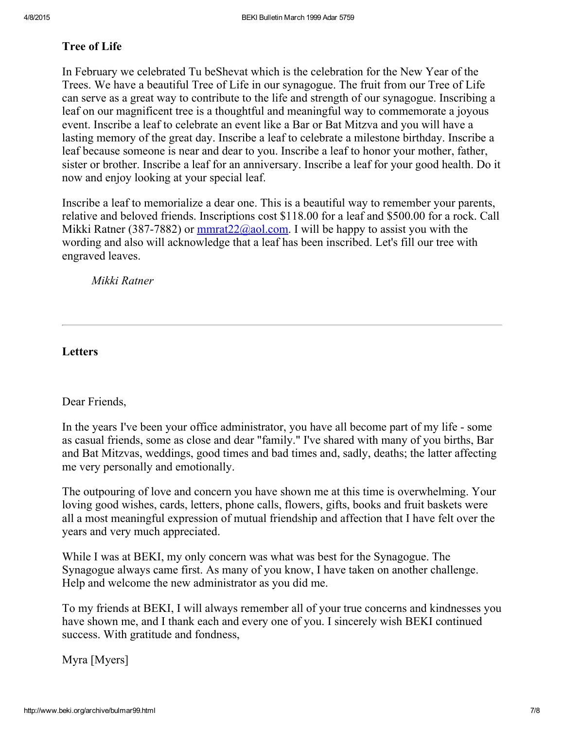## <span id="page-6-1"></span>Tree of Life

In February we celebrated Tu beShevat which is the celebration for the New Year of the Trees. We have a beautiful Tree of Life in our synagogue. The fruit from our Tree of Life can serve as a great way to contribute to the life and strength of our synagogue. Inscribing a leaf on our magnificent tree is a thoughtful and meaningful way to commemorate a joyous event. Inscribe a leaf to celebrate an event like a Bar or Bat Mitzva and you will have a lasting memory of the great day. Inscribe a leaf to celebrate a milestone birthday. Inscribe a leaf because someone is near and dear to you. Inscribe a leaf to honor your mother, father, sister or brother. Inscribe a leaf for an anniversary. Inscribe a leaf for your good health. Do it now and enjoy looking at your special leaf.

Inscribe a leaf to memorialize a dear one. This is a beautiful way to remember your parents, relative and beloved friends. Inscriptions cost \$118.00 for a leaf and \$500.00 for a rock. Call Mikki Ratner (387-7882) or  $\frac{\text{mmrat22}(\partial \text{aol.com.} \text{I} \text{ will be happy to assist you with the})}{\text{mmat22}(\partial \text{aol.com.} \text{I} \text{ will be happy to assist you with the})}$ wording and also will acknowledge that a leaf has been inscribed. Let's fill our tree with engraved leaves.

Mikki Ratner

## <span id="page-6-0"></span>**Letters**

#### Dear Friends,

In the years I've been your office administrator, you have all become part of my life - some as casual friends, some as close and dear "family." I've shared with many of you births, Bar and Bat Mitzvas, weddings, good times and bad times and, sadly, deaths; the latter affecting me very personally and emotionally.

The outpouring of love and concern you have shown me at this time is overwhelming. Your loving good wishes, cards, letters, phone calls, flowers, gifts, books and fruit baskets were all a most meaningful expression of mutual friendship and affection that I have felt over the years and very much appreciated.

While I was at BEKI, my only concern was what was best for the Synagogue. The Synagogue always came first. As many of you know, I have taken on another challenge. Help and welcome the new administrator as you did me.

To my friends at BEKI, I will always remember all of your true concerns and kindnesses you have shown me, and I thank each and every one of you. I sincerely wish BEKI continued success. With gratitude and fondness,

Myra [Myers]